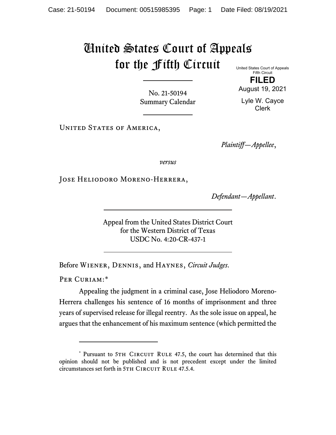## United States Court of Appeals for the Fifth Circuit

United States Court of Appeals Fifth Circuit

No. 21-50194 Summary Calendar

**FILED** August 19, 2021

Lyle W. Cayce Clerk

UNITED STATES OF AMERICA,

*Plaintiff—Appellee*,

*versus*

Jose Heliodoro Moreno-Herrera,

*Defendant—Appellant*.

Appeal from the United States District Court for the Western District of Texas USDC No. 4:20-CR-437-1

Before Wiener, Dennis, and Haynes, *Circuit Judges*.

PER CURIAM:[\\*](#page-0-0)

Appealing the judgment in a criminal case, Jose Heliodoro Moreno-Herrera challenges his sentence of 16 months of imprisonment and three years of supervised release for illegal reentry. As the sole issue on appeal, he argues that the enhancement of his maximum sentence (which permitted the

<span id="page-0-0"></span><sup>\*</sup> Pursuant to 5TH CIRCUIT RULE 47.5, the court has determined that this opinion should not be published and is not precedent except under the limited circumstances set forth in 5TH CIRCUIT RULE 47.5.4.